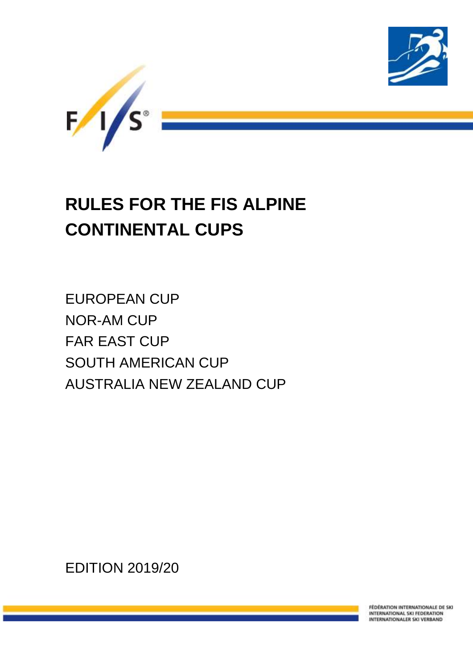

# **RULES FOR THE FIS ALPINE CONTINENTAL CUPS**

EUROPEAN CUP NOR-AM CUP FAR EAST CUP SOUTH AMERICAN CUP AUSTRALIA NEW ZEALAND CUP

EDITION 2019/20

FÉDÉRATION INTERNATIONALE DE SKI INTERNATIONAL SKI FEDERATION INTERNATIONALER SKI VERBAND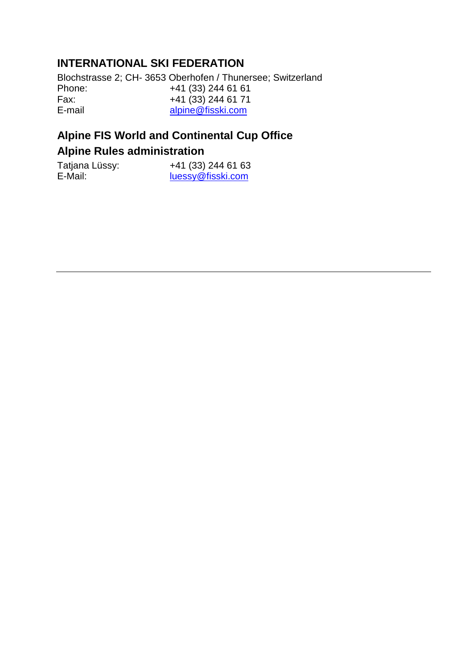# **INTERNATIONAL SKI FEDERATION**

Blochstrasse 2; CH- 3653 Oberhofen / Thunersee; Switzerland Phone: +41 (33) 244 61 61<br>Fax: +41 (33) 244 61 71 Fax:  $+41 (33) 244 61 71$ <br>E-mail alpine@fisski.com [alpine@fisski.com](mailto:alpine@fisski.com)

# **Alpine FIS World and Continental Cup Office**

# **Alpine Rules administration**

| Tatjana Lüssy: | +41 (33) 244 61 63 |
|----------------|--------------------|
| E-Mail:        | luessy@fisski.com  |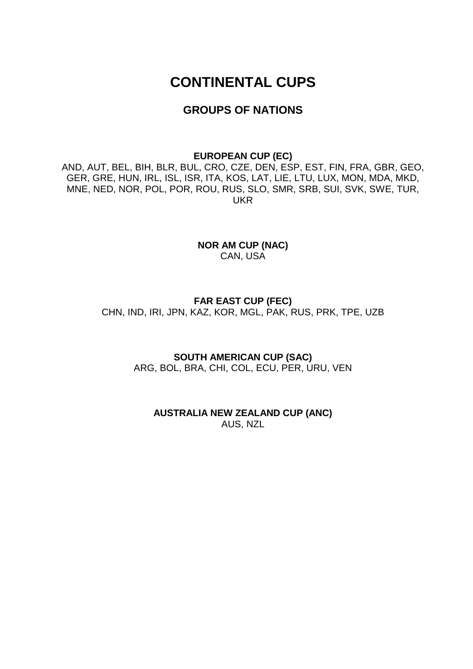# **CONTINENTAL CUPS**

# **GROUPS OF NATIONS**

#### **EUROPEAN CUP (EC)**

AND, AUT, BEL, BIH, BLR, BUL, CRO, CZE, DEN, ESP, EST, FIN, FRA, GBR, GEO, GER, GRE, HUN, IRL, ISL, ISR, ITA, KOS, LAT, LIE, LTU, LUX, MON, MDA, MKD, MNE, NED, NOR, POL, POR, ROU, RUS, SLO, SMR, SRB, SUI, SVK, SWE, TUR, UKR

> **NOR AM CUP (NAC)** CAN, USA

# **FAR EAST CUP (FEC)**

CHN, IND, IRI, JPN, KAZ, KOR, MGL, PAK, RUS, PRK, TPE, UZB

**SOUTH AMERICAN CUP (SAC)** ARG, BOL, BRA, CHI, COL, ECU, PER, URU, VEN

**AUSTRALIA NEW ZEALAND CUP (ANC)** AUS, NZL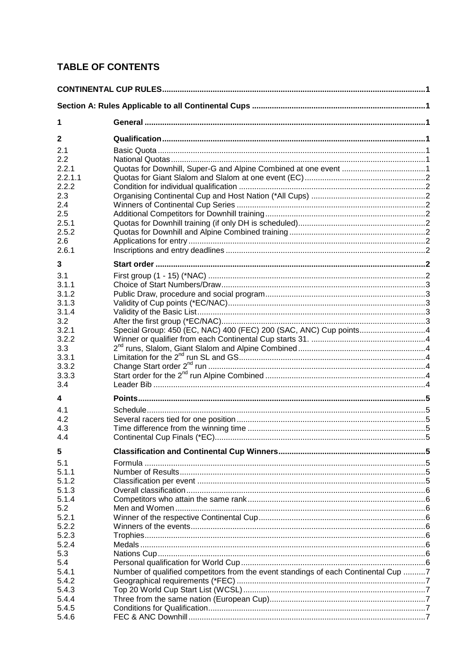# **TABLE OF CONTENTS**

| 1<br>$\mathbf 2$<br>2.1<br>2.2<br>2.2.1<br>2.2.1.1<br>2.2.2<br>2.3<br>2.4<br>2.5<br>2.5.1<br>2.5.2<br>2.6<br>2.6.1<br>3<br>3.1<br>3.1.1<br>3.1.2<br>3.1.3<br>3.1.4<br>3.2<br>Special Group: 450 (EC, NAC) 400 (FEC) 200 (SAC, ANC) Cup points4<br>3.2.1<br>3.2.2<br>3.3<br>3.3.1<br>3.3.2<br>3.3.3<br>3.4<br>4<br>4.1<br>4.2<br>4.3<br>4.4<br>5<br>5.1<br>5.1.1<br>5.1.2<br>5.1.3<br>5.1.4<br>5.2<br>5.2.1<br>5.2.2<br>5.2.3<br>5.2.4<br>5.3<br>5.4<br>Number of qualified competitors from the event standings of each Continental Cup 7<br>5.4.1 |       |  |  |
|----------------------------------------------------------------------------------------------------------------------------------------------------------------------------------------------------------------------------------------------------------------------------------------------------------------------------------------------------------------------------------------------------------------------------------------------------------------------------------------------------------------------------------------------------|-------|--|--|
|                                                                                                                                                                                                                                                                                                                                                                                                                                                                                                                                                    |       |  |  |
|                                                                                                                                                                                                                                                                                                                                                                                                                                                                                                                                                    |       |  |  |
|                                                                                                                                                                                                                                                                                                                                                                                                                                                                                                                                                    |       |  |  |
|                                                                                                                                                                                                                                                                                                                                                                                                                                                                                                                                                    |       |  |  |
|                                                                                                                                                                                                                                                                                                                                                                                                                                                                                                                                                    |       |  |  |
|                                                                                                                                                                                                                                                                                                                                                                                                                                                                                                                                                    |       |  |  |
|                                                                                                                                                                                                                                                                                                                                                                                                                                                                                                                                                    |       |  |  |
|                                                                                                                                                                                                                                                                                                                                                                                                                                                                                                                                                    |       |  |  |
|                                                                                                                                                                                                                                                                                                                                                                                                                                                                                                                                                    |       |  |  |
|                                                                                                                                                                                                                                                                                                                                                                                                                                                                                                                                                    |       |  |  |
|                                                                                                                                                                                                                                                                                                                                                                                                                                                                                                                                                    |       |  |  |
|                                                                                                                                                                                                                                                                                                                                                                                                                                                                                                                                                    |       |  |  |
|                                                                                                                                                                                                                                                                                                                                                                                                                                                                                                                                                    |       |  |  |
|                                                                                                                                                                                                                                                                                                                                                                                                                                                                                                                                                    |       |  |  |
|                                                                                                                                                                                                                                                                                                                                                                                                                                                                                                                                                    |       |  |  |
|                                                                                                                                                                                                                                                                                                                                                                                                                                                                                                                                                    |       |  |  |
|                                                                                                                                                                                                                                                                                                                                                                                                                                                                                                                                                    |       |  |  |
|                                                                                                                                                                                                                                                                                                                                                                                                                                                                                                                                                    |       |  |  |
|                                                                                                                                                                                                                                                                                                                                                                                                                                                                                                                                                    |       |  |  |
|                                                                                                                                                                                                                                                                                                                                                                                                                                                                                                                                                    |       |  |  |
|                                                                                                                                                                                                                                                                                                                                                                                                                                                                                                                                                    |       |  |  |
|                                                                                                                                                                                                                                                                                                                                                                                                                                                                                                                                                    |       |  |  |
|                                                                                                                                                                                                                                                                                                                                                                                                                                                                                                                                                    |       |  |  |
|                                                                                                                                                                                                                                                                                                                                                                                                                                                                                                                                                    |       |  |  |
|                                                                                                                                                                                                                                                                                                                                                                                                                                                                                                                                                    |       |  |  |
|                                                                                                                                                                                                                                                                                                                                                                                                                                                                                                                                                    |       |  |  |
|                                                                                                                                                                                                                                                                                                                                                                                                                                                                                                                                                    |       |  |  |
|                                                                                                                                                                                                                                                                                                                                                                                                                                                                                                                                                    |       |  |  |
|                                                                                                                                                                                                                                                                                                                                                                                                                                                                                                                                                    |       |  |  |
|                                                                                                                                                                                                                                                                                                                                                                                                                                                                                                                                                    |       |  |  |
|                                                                                                                                                                                                                                                                                                                                                                                                                                                                                                                                                    |       |  |  |
|                                                                                                                                                                                                                                                                                                                                                                                                                                                                                                                                                    |       |  |  |
|                                                                                                                                                                                                                                                                                                                                                                                                                                                                                                                                                    |       |  |  |
|                                                                                                                                                                                                                                                                                                                                                                                                                                                                                                                                                    |       |  |  |
|                                                                                                                                                                                                                                                                                                                                                                                                                                                                                                                                                    |       |  |  |
|                                                                                                                                                                                                                                                                                                                                                                                                                                                                                                                                                    |       |  |  |
|                                                                                                                                                                                                                                                                                                                                                                                                                                                                                                                                                    |       |  |  |
|                                                                                                                                                                                                                                                                                                                                                                                                                                                                                                                                                    |       |  |  |
|                                                                                                                                                                                                                                                                                                                                                                                                                                                                                                                                                    |       |  |  |
|                                                                                                                                                                                                                                                                                                                                                                                                                                                                                                                                                    |       |  |  |
|                                                                                                                                                                                                                                                                                                                                                                                                                                                                                                                                                    |       |  |  |
|                                                                                                                                                                                                                                                                                                                                                                                                                                                                                                                                                    |       |  |  |
|                                                                                                                                                                                                                                                                                                                                                                                                                                                                                                                                                    |       |  |  |
|                                                                                                                                                                                                                                                                                                                                                                                                                                                                                                                                                    |       |  |  |
|                                                                                                                                                                                                                                                                                                                                                                                                                                                                                                                                                    |       |  |  |
|                                                                                                                                                                                                                                                                                                                                                                                                                                                                                                                                                    |       |  |  |
|                                                                                                                                                                                                                                                                                                                                                                                                                                                                                                                                                    |       |  |  |
|                                                                                                                                                                                                                                                                                                                                                                                                                                                                                                                                                    | 5.4.2 |  |  |
| 5.4.3                                                                                                                                                                                                                                                                                                                                                                                                                                                                                                                                              |       |  |  |
| 5.4.4                                                                                                                                                                                                                                                                                                                                                                                                                                                                                                                                              |       |  |  |
| 5.4.5                                                                                                                                                                                                                                                                                                                                                                                                                                                                                                                                              |       |  |  |
| 5.4.6                                                                                                                                                                                                                                                                                                                                                                                                                                                                                                                                              |       |  |  |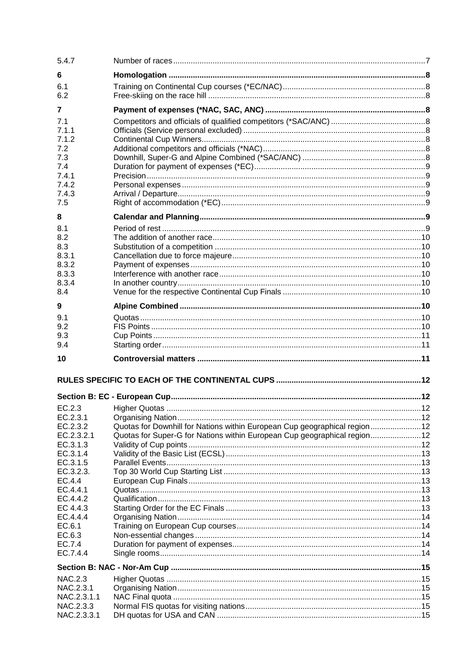| 5.4.7                                                        |                                                                                                                                                        |  |
|--------------------------------------------------------------|--------------------------------------------------------------------------------------------------------------------------------------------------------|--|
| 6                                                            |                                                                                                                                                        |  |
| 6.1<br>6.2                                                   |                                                                                                                                                        |  |
| $\overline{7}$                                               |                                                                                                                                                        |  |
| 7.1<br>7.1.1<br>7.1.2<br>7.2                                 |                                                                                                                                                        |  |
| 7.3<br>7.4<br>7.4.1                                          |                                                                                                                                                        |  |
| 7.4.2<br>7.4.3<br>7.5                                        |                                                                                                                                                        |  |
| 8                                                            |                                                                                                                                                        |  |
| 8.1<br>8.2<br>8.3<br>8.3.1<br>8.3.2<br>8.3.3<br>8.3.4<br>8.4 |                                                                                                                                                        |  |
| 9                                                            |                                                                                                                                                        |  |
| 9.1                                                          |                                                                                                                                                        |  |
| 9.2<br>9.3<br>9.4                                            |                                                                                                                                                        |  |
| 10                                                           |                                                                                                                                                        |  |
|                                                              |                                                                                                                                                        |  |
|                                                              |                                                                                                                                                        |  |
| EC.2.3                                                       |                                                                                                                                                        |  |
| EC.2.3.1                                                     |                                                                                                                                                        |  |
| EC.2.3.2<br>EC.2.3.2.1                                       | Quotas for Downhill for Nations within European Cup geographical region12<br>Quotas for Super-G for Nations within European Cup geographical region 12 |  |
| EC.3.1.3                                                     |                                                                                                                                                        |  |
| EC.3.1.4                                                     |                                                                                                                                                        |  |
| EC.3.1.5<br>EC.3.2.3.                                        |                                                                                                                                                        |  |
| EC.4.4                                                       |                                                                                                                                                        |  |
| EC.4.4.1                                                     |                                                                                                                                                        |  |
| EC.4.4.2                                                     |                                                                                                                                                        |  |
| EC 4.4.3<br>EC.4.4.4                                         |                                                                                                                                                        |  |
| EC.6.1                                                       |                                                                                                                                                        |  |
| EC.6.3                                                       |                                                                                                                                                        |  |
| EC.7.4                                                       |                                                                                                                                                        |  |
| EC.7.4.4                                                     |                                                                                                                                                        |  |
|                                                              |                                                                                                                                                        |  |
| <b>NAC.2.3</b>                                               |                                                                                                                                                        |  |
| NAC.2.3.1                                                    |                                                                                                                                                        |  |
| NAC.2.3.1.1<br>NAC.2.3.3                                     |                                                                                                                                                        |  |
| NAC.2.3.3.1                                                  |                                                                                                                                                        |  |
|                                                              |                                                                                                                                                        |  |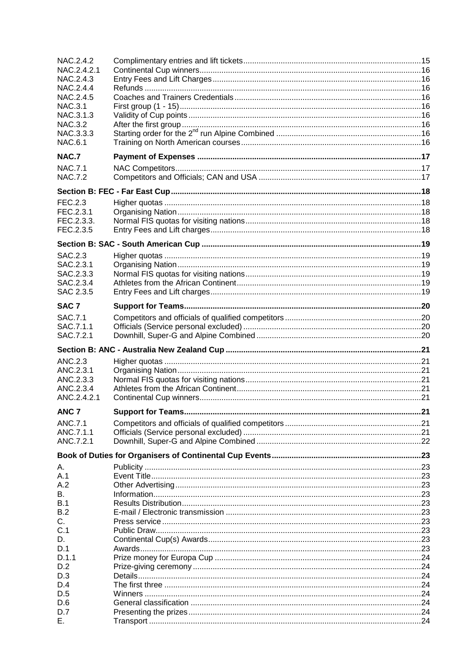| NAC.2.4.2              |  |
|------------------------|--|
| NAC.2.4.2.1            |  |
| NAC.2.4.3<br>NAC.2.4.4 |  |
| NAC.2.4.5              |  |
| <b>NAC.3.1</b>         |  |
| NAC.3.1.3              |  |
| <b>NAC.3.2</b>         |  |
| NAC.3.3.3              |  |
| <b>NAC.6.1</b>         |  |
| <b>NAC.7</b>           |  |
| <b>NAC.7.1</b>         |  |
| <b>NAC.7.2</b>         |  |
|                        |  |
| FEC.2.3                |  |
| FEC.2.3.1              |  |
| FEC.2.3.3.             |  |
| FEC.2.3.5              |  |
|                        |  |
| SAC.2.3                |  |
| SAC.2.3.1              |  |
| SAC.2.3.3              |  |
| SAC.2.3.4              |  |
| SAC 2.3.5              |  |
| SAC <sub>7</sub>       |  |
| <b>SAC.7.1</b>         |  |
| SAC.7.1.1              |  |
| SAC.7.2.1              |  |
|                        |  |
| ANC.2.3                |  |
| ANC.2.3.1              |  |
| ANC.2.3.3              |  |
| ANC.2.3.4              |  |
| ANC.2.4.2.1            |  |
| ANC <sub>7</sub>       |  |
| ANC.7.1                |  |
| ANC.7.1.1              |  |
| ANC.7.2.1              |  |
|                        |  |
| Α.                     |  |
| A.1                    |  |
| A.2                    |  |
| В.<br>B.1              |  |
| B.2                    |  |
| С.                     |  |
| C.1                    |  |
| D.                     |  |
| D.1                    |  |
|                        |  |
| D.1.1                  |  |
| D.2                    |  |
| D.3                    |  |
| D.4                    |  |
| D.5                    |  |
| D.6                    |  |
| D.7<br>Е.              |  |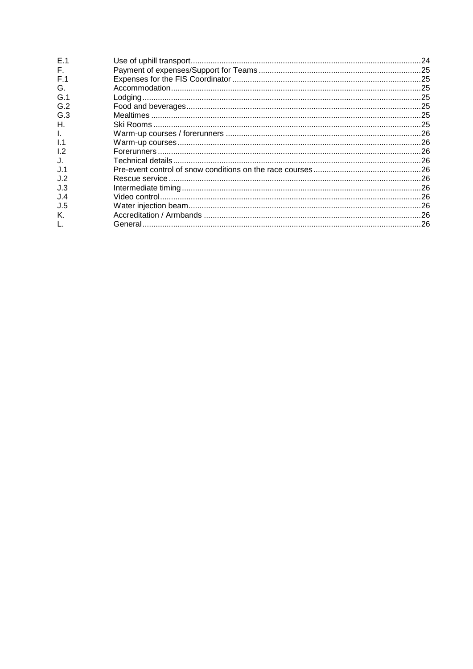| E.1          |  |
|--------------|--|
| F.           |  |
| F.1          |  |
| G.           |  |
| G.1          |  |
| G.2          |  |
| G.3          |  |
| Н.           |  |
| Ι.           |  |
| 1.1          |  |
| 1.2          |  |
| $J_{\rm{L}}$ |  |
| J.1          |  |
| J.2          |  |
| J.3          |  |
| J.4          |  |
| J.5          |  |
| Κ.           |  |
| L.           |  |
|              |  |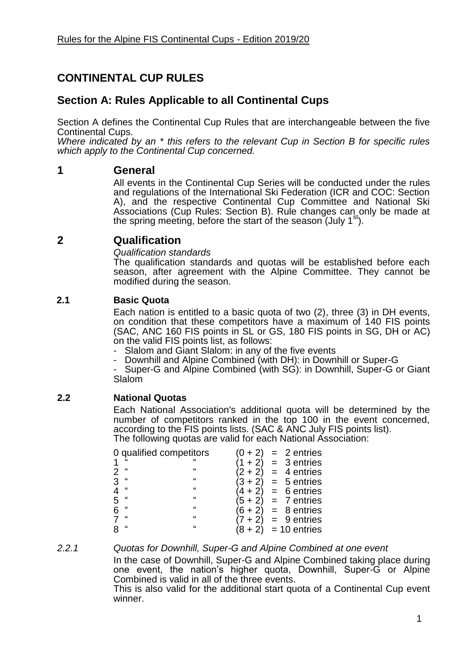# **CONTINENTAL CUP RULES**

# **Section A: Rules Applicable to all Continental Cups**

Section A defines the Continental Cup Rules that are interchangeable between the five Continental Cups.

*Where indicated by an \* this refers to the relevant Cup in Section B for specific rules which apply to the Continental Cup concerned.*

# **1 General**

All events in the Continental Cup Series will be conducted under the rules and regulations of the International Ski Federation (ICR and COC: Section A), and the respective Continental Cup Committee and National Ski Associations (Cup Rules: Section B). Rule changes can only be made at the spring meeting, before the start of the season (July  $1<sup>st</sup>$ ).

# **2 Qualification**

*Qualification standards*

The qualification standards and quotas will be established before each season, after agreement with the Alpine Committee. They cannot be modified during the season.

# **2.1 Basic Quota**

Each nation is entitled to a basic quota of two (2), three (3) in DH events, on condition that these competitors have a maximum of 140 FIS points (SAC, ANC 160 FIS points in SL or GS, 180 FIS points in SG, DH or AC) on the valid FIS points list, as follows:

Slalom and Giant Slalom: in any of the five events

- Downhill and Alpine Combined (with DH): in Downhill or Super-G

Super-G and Alpine Combined (with SG): in Downhill, Super-G or Giant Slalom

# **2.2 National Quotas**

Each National Association's additional quota will be determined by the number of competitors ranked in the top 100 in the event concerned, according to the FIS points lists. (SAC & ANC July FIS points list). The following quotas are valid for each National Association:

|   | 0 qualified competitors | $(0 + 2)$ | $= 2$ entries  |
|---|-------------------------|-----------|----------------|
|   |                         |           | $=$ 3 entries  |
| " | "                       | $(2 + 2)$ | $= 4$ entries  |
| " | $\mathbf{G}$            | $(3 + 2)$ | $= 5$ entries  |
| " | $\mathbf{G}$            |           | $= 6$ entries  |
| " | $\mathbf{G}$            | $(5 + 2)$ | $= 7$ entries  |
| " | $\mathbf{G}$            | $(6 + 2)$ | $= 8$ entries  |
| " | $\mathbf{G}$            |           | $= 9$ entries  |
| " | $\mathbf{G}$            |           | $= 10$ entries |

*2.2.1 Quotas for Downhill, Super-G and Alpine Combined at one event* In the case of Downhill, Super-G and Alpine Combined taking place during

one event, the nation's higher quota, Downhill, Super-G or Alpine Combined is valid in all of the three events. This is also valid for the additional start quota of a Continental Cup event winner.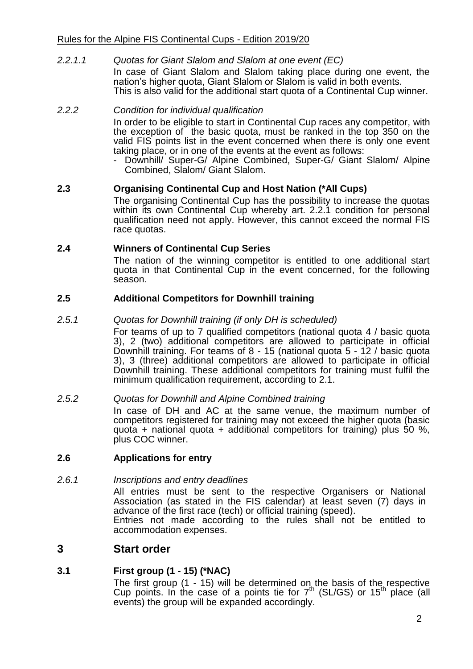#### *2.2.1.1 Quotas for Giant Slalom and Slalom at one event (EC)* In case of Giant Slalom and Slalom taking place during one event, the nation's higher quota, Giant Slalom or Slalom is valid in both events. This is also valid for the additional start quota of a Continental Cup winner.

# *2.2.2 Condition for individual qualification*

In order to be eligible to start in Continental Cup races any competitor, with the exception of the basic quota, must be ranked in the top 350 on the valid FIS points list in the event concerned when there is only one event taking place, or in one of the events at the event as follows:

- Downhill/ Super-G/ Alpine Combined, Super-G/ Giant Slalom/ Alpine Combined, Slalom/ Giant Slalom.

#### **2.3 Organising Continental Cup and Host Nation (\*All Cups)**

The organising Continental Cup has the possibility to increase the quotas within its own Continental Cup whereby art. 2.2.1 condition for personal qualification need not apply. However, this cannot exceed the normal FIS race quotas.

#### **2.4 Winners of Continental Cup Series**

The nation of the winning competitor is entitled to one additional start quota in that Continental Cup in the event concerned, for the following season.

#### **2.5 Additional Competitors for Downhill training**

#### *2.5.1 Quotas for Downhill training (if only DH is scheduled)*

For teams of up to 7 qualified competitors (national quota 4 / basic quota 3), 2 (two) additional competitors are allowed to participate in official Downhill training. For teams of 8 - 15 (national quota 5 - 12 / basic quota 3), 3 (three) additional competitors are allowed to participate in official Downhill training. These additional competitors for training must fulfil the minimum qualification requirement, according to 2.1.

#### *2.5.2 Quotas for Downhill and Alpine Combined training*

In case of DH and AC at the same venue, the maximum number of competitors registered for training may not exceed the higher quota (basic quota + national quota + additional competitors for training) plus 50 %, plus COC winner.

#### **2.6 Applications for entry**

#### *2.6.1 Inscriptions and entry deadlines*

All entries must be sent to the respective Organisers or National Association (as stated in the FIS calendar) at least seven (7) days in advance of the first race (tech) or official training (speed).

Entries not made according to the rules shall not be entitled to accommodation expenses.

# **3 Start order**

#### **3.1 First group (1 - 15) (\*NAC)**

The first group (1 - 15) will be determined on the basis of the respective Cup points. In the case of a points tie for  $7<sup>th</sup>$  (SL/GS) or  $15<sup>th</sup>$  place (all events) the group will be expanded accordingly.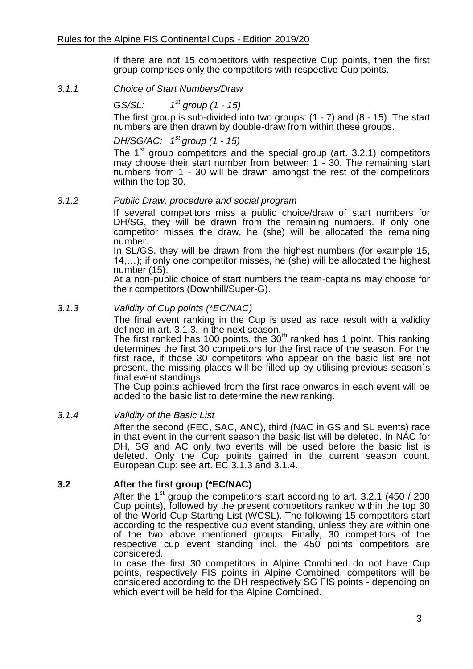If there are not 15 competitors with respective Cup points, then the first group comprises only the competitors with respective Cup points.

*3.1.1 Choice of Start Numbers/Draw*

*GS/SL: 1 st group (1 - 15)*

The first group is sub-divided into two groups: (1 - 7) and (8 - 15). The start numbers are then drawn by double-draw from within these groups.

# *DH/SG/AC: 1 st group (1 - 15)*

The  $1<sup>st</sup>$  group competitors and the special group (art. 3.2.1) competitors may choose their start number from between 1 - 30. The remaining start numbers from 1 - 30 will be drawn amongst the rest of the competitors within the top 30.

#### *3.1.2 Public Draw, procedure and social program*

If several competitors miss a public choice/draw of start numbers for DH/SG, they will be drawn from the remaining numbers. If only one competitor misses the draw, he (she) will be allocated the remaining number.

In SL/GS, they will be drawn from the highest numbers (for example 15, 14,…); if only one competitor misses, he (she) will be allocated the highest number (15).

At a non-public choice of start numbers the team-captains may choose for their competitors (Downhill/Super-G).

# *3.1.3 Validity of Cup points (\*EC/NAC)*

The final event ranking in the Cup is used as race result with a validity defined in art. 3.1.3. in the next season.

The first ranked has 100 points, the 30<sup>th</sup> ranked has 1 point. This ranking determines the first 30 competitors for the first race of the season. For the first race, if those 30 competitors who appear on the basic list are not present, the missing places will be filled up by utilising previous season´s final event standings.

The Cup points achieved from the first race onwards in each event will be added to the basic list to determine the new ranking.

#### *3.1.4 Validity of the Basic List*

After the second (FEC, SAC, ANC), third (NAC in GS and SL events) race in that event in the current season the basic list will be deleted. In NAC for DH, SG and AC only two events will be used before the basic list is deleted. Only the Cup points gained in the current season count. European Cup: see art. EC 3.1.3 and 3.1.4.

# **3.2 After the first group (\*EC/NAC)**

After the 1<sup>st</sup> group the competitors start according to art. 3.2.1 (450 / 200) Cup points), followed by the present competitors ranked within the top 30 of the World Cup Starting List (WCSL). The following 15 competitors start according to the respective cup event standing, unless they are within one of the two above mentioned groups. Finally, 30 competitors of the respective cup event standing incl. the 450 points competitors are considered.

In case the first 30 competitors in Alpine Combined do not have Cup points, respectively FIS points in Alpine Combined, competitors will be considered according to the DH respectively SG FIS points - depending on which event will be held for the Alpine Combined.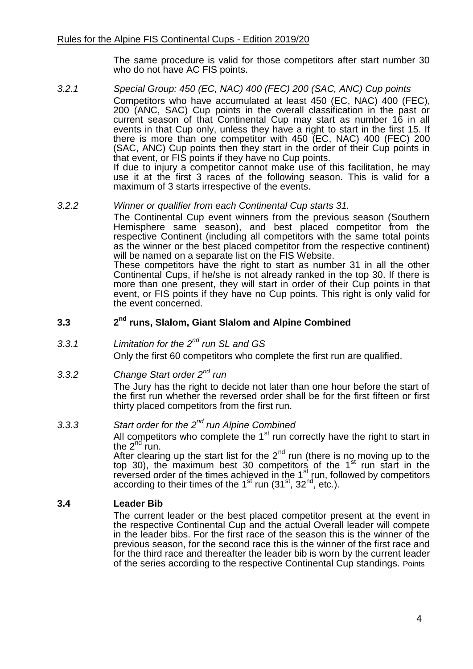The same procedure is valid for those competitors after start number 30 who do not have AC FIS points.

*3.2.1 Special Group: 450 (EC, NAC) 400 (FEC) 200 (SAC, ANC) Cup points* Competitors who have accumulated at least 450 (EC, NAC) 400 (FEC), 200 (ANC, SAC) Cup points in the overall classification in the past or current season of that Continental Cup may start as number 16 in all events in that Cup only, unless they have a right to start in the first 15. If there is more than one competitor with 450 (EC, NAC) 400 (FEC) 200 (SAC, ANC) Cup points then they start in the order of their Cup points in that event, or FIS points if they have no Cup points. If due to injury a competitor cannot make use of this facilitation, he may use it at the first 3 races of the following season. This is valid for a maximum of 3 starts irrespective of the events.

#### *3.2.2 Winner or qualifier from each Continental Cup starts 31.*

The Continental Cup event winners from the previous season (Southern Hemisphere same season), and best placed competitor from the respective Continent (including all competitors with the same total points as the winner or the best placed competitor from the respective continent) will be named on a separate list on the FIS Website.

These competitors have the right to start as number 31 in all the other Continental Cups, if he/she is not already ranked in the top 30. If there is more than one present, they will start in order of their Cup points in that event, or FIS points if they have no Cup points. This right is only valid for the event concerned.

#### **3.3 2 nd runs, Slalom, Giant Slalom and Alpine Combined**

# *3.3.1 Limitation for the 2nd run SL and GS*

Only the first 60 competitors who complete the first run are qualified.

# *3.3.2 Change Start order 2nd run*

The Jury has the right to decide not later than one hour before the start of the first run whether the reversed order shall be for the first fifteen or first thirty placed competitors from the first run.

# *3.3.3 Start order for the 2nd run Alpine Combined*

All competitors who complete the  $1<sup>st</sup>$  run correctly have the right to start in the  $2^{nd}$  run.

After clearing up the start list for the  $2<sup>nd</sup>$  run (there is no moving up to the top 30), the maximum best 30 competitors of the  $1<sup>st</sup>$  run start in the reversed order of the times achieved in the 1<sup>st</sup> run, followed by competitors according to their times of the  $1<sup>st</sup>$  run (31<sup>st</sup>, 32<sup>nd</sup>, etc.).

#### **3.4 Leader Bib**

The current leader or the best placed competitor present at the event in the respective Continental Cup and the actual Overall leader will compete in the leader bibs. For the first race of the season this is the winner of the previous season, for the second race this is the winner of the first race and for the third race and thereafter the leader bib is worn by the current leader of the series according to the respective Continental Cup standings. Points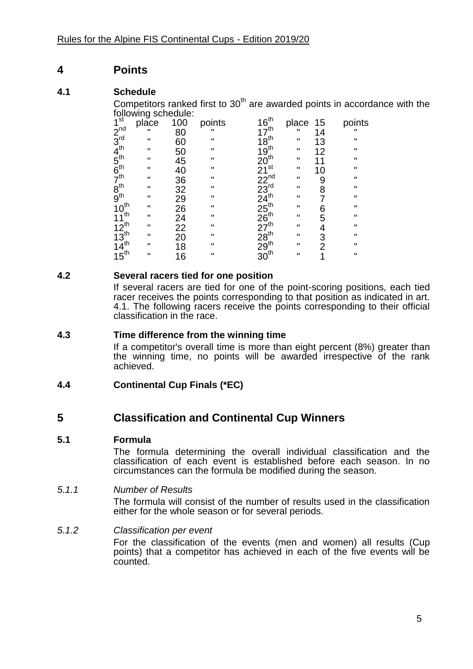# **4 Points**

# **4.1 Schedule**

Competitors ranked first to  $30<sup>th</sup>$  are awarded points in accordance with the following schedule:

| 1 <sup>st</sup>                                                                                                      | place              | 100                  | points       |                                                               | place        | 15             | points       |
|----------------------------------------------------------------------------------------------------------------------|--------------------|----------------------|--------------|---------------------------------------------------------------|--------------|----------------|--------------|
|                                                                                                                      | $\mathbf{u}$       | 80                   |              |                                                               | п            | 14             | $\mathbf{u}$ |
|                                                                                                                      | $\mathbf{H}$       | 60                   | $\mathbf{H}$ |                                                               | $\mathbf{H}$ | 13             | $\mathbf{H}$ |
| $2^{nd}_{3^{rd}}$<br>$4^{th}_{5^{th}}$<br>$5^{th}_{6^{th}}$<br>$8^{th}_{9^{th}}$<br>$10^{th}_{10}$<br>$11^{th}_{10}$ | $\pmb{\mathsf{H}}$ |                      | $\mathbf{H}$ | $16^{th}$<br>$17^{th}$<br>$18^{th}$<br>$19^{th}$<br>$19^{th}$ | $\mathbf{H}$ | 12             | $\mathbf{H}$ |
|                                                                                                                      | $\pmb{\mathsf{H}}$ | 50<br>45             | $\mathbf{H}$ |                                                               | $\mathbf{H}$ | 11             | $\mathbf H$  |
|                                                                                                                      | $\mathbf{H}$       | 40                   | $\mathbf{H}$ |                                                               | $\mathbf{H}$ | 10             | $\mathbf{H}$ |
|                                                                                                                      | п                  |                      | $\mathbf{H}$ |                                                               | $\mathbf{H}$ | 9              | $\mathbf{H}$ |
|                                                                                                                      | п                  |                      | $\mathbf{H}$ |                                                               | $\mathbf{H}$ | 8              | $\mathbf{H}$ |
|                                                                                                                      | п                  |                      | $\mathbf{H}$ |                                                               | п            | 7              | Ш            |
|                                                                                                                      | $\mathbf{H}$       | 36<br>32<br>29<br>26 | $\mathbf{H}$ |                                                               | $\mathbf{H}$ | 6              | $\mathbf{H}$ |
|                                                                                                                      | $\mathbf{H}$       | $\frac{24}{22}$      | $\mathbf{H}$ |                                                               | $\mathbf{H}$ | 5              | $\mathbf{H}$ |
|                                                                                                                      | $\mathbf{H}$       |                      | $\mathbf{u}$ |                                                               | $\mathbf{H}$ | 4              | $\mathbf{H}$ |
|                                                                                                                      | $\mathbf{H}$       | $\overline{20}$      | $\mathbf{H}$ |                                                               | $\mathbf{H}$ | 3              | $\mathbf{H}$ |
|                                                                                                                      | $\mathbf{H}$       | 18                   | $\mathbf{H}$ |                                                               | $\mathbf{H}$ | $\overline{2}$ | $\mathbf{H}$ |
| $12^{th}$<br>$12^{th}$<br>$13^{th}$<br>$14^{th}$<br>$15^{th}$                                                        | $\mathbf{u}$       | 16                   | $\mathbf{H}$ |                                                               | π            | 1              | $\mathbf{H}$ |
|                                                                                                                      |                    |                      |              |                                                               |              |                |              |

# **4.2 Several racers tied for one position**

If several racers are tied for one of the point-scoring positions, each tied racer receives the points corresponding to that position as indicated in art. 4.1. The following racers receive the points corresponding to their official classification in the race.

# **4.3 Time difference from the winning time**

If a competitor's overall time is more than eight percent (8%) greater than the winning time, no points will be awarded irrespective of the rank achieved.

# **4.4 Continental Cup Finals (\*EC)**

# **5 Classification and Continental Cup Winners**

# **5.1 Formula**

The formula determining the overall individual classification and the classification of each event is established before each season. In no circumstances can the formula be modified during the season.

# *5.1.1 Number of Results*

The formula will consist of the number of results used in the classification either for the whole season or for several periods.

# *5.1.2 Classification per event*

For the classification of the events (men and women) all results (Cup points) that a competitor has achieved in each of the five events will be counted.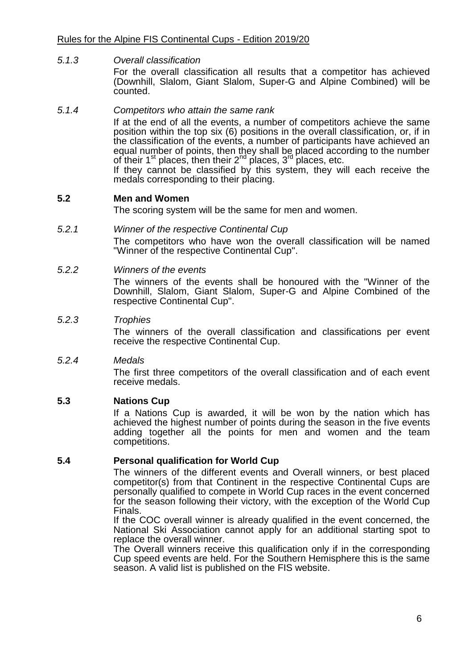# *5.1.3 Overall classification*

For the overall classification all results that a competitor has achieved (Downhill, Slalom, Giant Slalom, Super-G and Alpine Combined) will be counted.

#### *5.1.4 Competitors who attain the same rank*

If at the end of all the events, a number of competitors achieve the same position within the top six (6) positions in the overall classification, or, if in the classification of the events, a number of participants have achieved an equal number of points, then they shall be placed according to the number of their  $1^{\text{st}}$  places, then their  $2^{\text{nd}}$  places,  $3^{\text{rd}}$  places, etc.

If they cannot be classified by this system, they will each receive the medals corresponding to their placing.

#### **5.2 Men and Women**

The scoring system will be the same for men and women.

#### *5.2.1 Winner of the respective Continental Cup*

The competitors who have won the overall classification will be named "Winner of the respective Continental Cup".

#### *5.2.2 Winners of the events*

The winners of the events shall be honoured with the "Winner of the Downhill, Slalom, Giant Slalom, Super-G and Alpine Combined of the respective Continental Cup".

#### *5.2.3 Trophies*

The winners of the overall classification and classifications per event receive the respective Continental Cup.

#### *5.2.4 Medals*

The first three competitors of the overall classification and of each event receive medals.

#### **5.3 Nations Cup**

If a Nations Cup is awarded, it will be won by the nation which has achieved the highest number of points during the season in the five events adding together all the points for men and women and the team competitions.

#### **5.4 Personal qualification for World Cup**

The winners of the different events and Overall winners, or best placed competitor(s) from that Continent in the respective Continental Cups are personally qualified to compete in World Cup races in the event concerned for the season following their victory, with the exception of the World Cup Finals.

If the COC overall winner is already qualified in the event concerned, the National Ski Association cannot apply for an additional starting spot to replace the overall winner.

The Overall winners receive this qualification only if in the corresponding Cup speed events are held. For the Southern Hemisphere this is the same season. A valid list is published on the FIS website.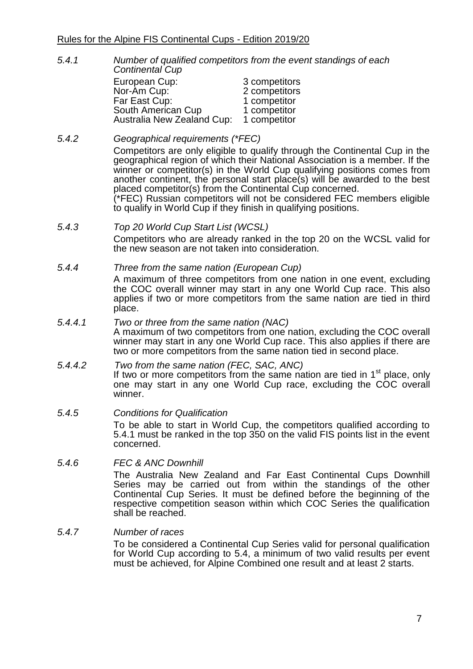*5.4.1 Number of qualified competitors from the event standings of each Continental Cup*

| European Cup:              | 3 competitors |
|----------------------------|---------------|
| Nor-Am Cup:                | 2 competitors |
| Far East Cup:              | 1 competitor  |
| South American Cup         | 1 competitor  |
| Australia New Zealand Cup: | 1 competitor  |

- *5.4.2 Geographical requirements (\*FEC)* Competitors are only eligible to qualify through the Continental Cup in the geographical region of which their National Association is a member. If the winner or competitor(s) in the World Cup qualifying positions comes from another continent, the personal start place(s) will be awarded to the best placed competitor(s) from the Continental Cup concerned. (\*FEC) Russian competitors will not be considered FEC members eligible to qualify in World Cup if they finish in qualifying positions.
- *5.4.3 Top 20 World Cup Start List (WCSL)* Competitors who are already ranked in the top 20 on the WCSL valid for the new season are not taken into consideration.
- *5.4.4 Three from the same nation (European Cup)* A maximum of three competitors from one nation in one event, excluding the COC overall winner may start in any one World Cup race. This also applies if two or more competitors from the same nation are tied in third place.
- *5.4.4.1 Two or three from the same nation (NAC)* A maximum of two competitors from one nation, excluding the COC overall winner may start in any one World Cup race. This also applies if there are two or more competitors from the same nation tied in second place.
- *5.4.4.2 Two from the same nation (FEC, SAC, ANC)* If two or more competitors from the same nation are tied in 1<sup>st</sup> place, only one may start in any one World Cup race, excluding the COC overall winner.
- *5.4.5 Conditions for Qualification* To be able to start in World Cup, the competitors qualified according to 5.4.1 must be ranked in the top 350 on the valid FIS points list in the event concerned.
- *5.4.6 FEC & ANC Downhill*

The Australia New Zealand and Far East Continental Cups Downhill Series may be carried out from within the standings of the other Continental Cup Series. It must be defined before the beginning of the respective competition season within which COC Series the qualification shall be reached.

*5.4.7 Number of races*

To be considered a Continental Cup Series valid for personal qualification for World Cup according to 5.4, a minimum of two valid results per event must be achieved, for Alpine Combined one result and at least 2 starts.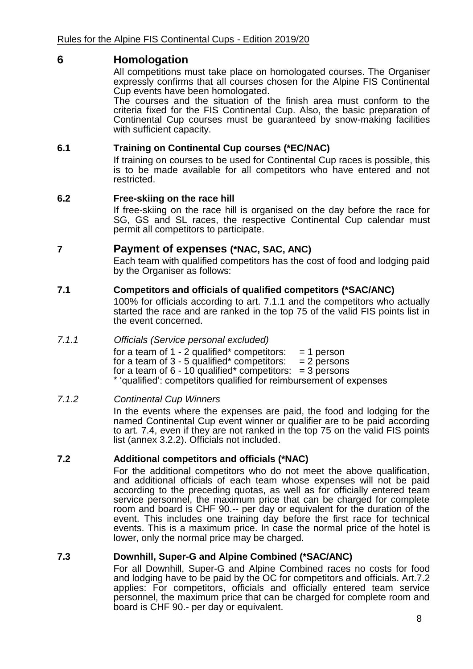# **6 Homologation**

All competitions must take place on homologated courses. The Organiser expressly confirms that all courses chosen for the Alpine FIS Continental Cup events have been homologated.

The courses and the situation of the finish area must conform to the criteria fixed for the FIS Continental Cup. Also, the basic preparation of Continental Cup courses must be guaranteed by snow-making facilities with sufficient capacity.

# **6.1 Training on Continental Cup courses (\*EC/NAC)**

If training on courses to be used for Continental Cup races is possible, this is to be made available for all competitors who have entered and not restricted.

# **6.2 Free-skiing on the race hill**

If free-skiing on the race hill is organised on the day before the race for SG, GS and SL races, the respective Continental Cup calendar must permit all competitors to participate.

# **7 Payment of expenses (\*NAC, SAC, ANC)**

Each team with qualified competitors has the cost of food and lodging paid by the Organiser as follows:

# **7.1 Competitors and officials of qualified competitors (\*SAC/ANC)**

100% for officials according to art. 7.1.1 and the competitors who actually started the race and are ranked in the top 75 of the valid FIS points list in the event concerned.

#### *7.1.1 Officials (Service personal excluded)*

for a team of  $1 - 2$  qualified\* competitors:  $= 1$  person for a team of  $3 - 5$  qualified\* competitors:  $= 2$  persons for a team of  $6 - 10$  qualified\* competitors:  $= 3$  persons \* 'qualified': competitors qualified for reimbursement of expenses

# *7.1.2 Continental Cup Winners*

In the events where the expenses are paid, the food and lodging for the named Continental Cup event winner or qualifier are to be paid according to art. 7.4, even if they are not ranked in the top 75 on the valid FIS points list (annex 3.2.2). Officials not included.

# **7.2 Additional competitors and officials (\*NAC)**

For the additional competitors who do not meet the above qualification, and additional officials of each team whose expenses will not be paid according to the preceding quotas, as well as for officially entered team service personnel, the maximum price that can be charged for complete room and board is CHF 90.-- per day or equivalent for the duration of the event. This includes one training day before the first race for technical events. This is a maximum price. In case the normal price of the hotel is lower, only the normal price may be charged.

# **7.3 Downhill, Super-G and Alpine Combined (\*SAC/ANC)**

For all Downhill, Super-G and Alpine Combined races no costs for food and lodging have to be paid by the OC for competitors and officials. Art.7.2 applies: For competitors, officials and officially entered team service personnel, the maximum price that can be charged for complete room and board is CHF 90.- per day or equivalent.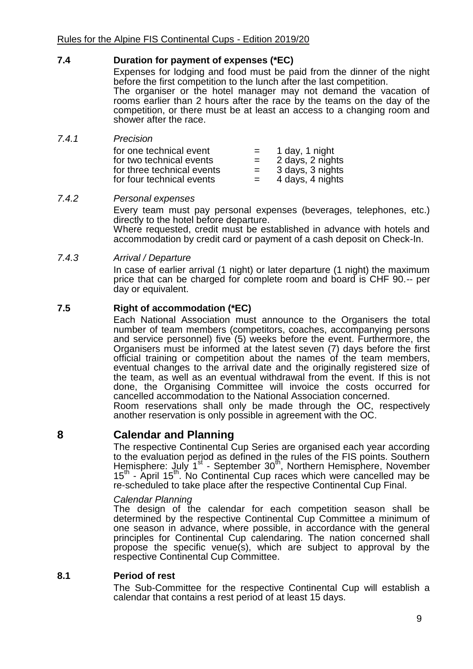# **7.4 Duration for payment of expenses (\*EC)**

Expenses for lodging and food must be paid from the dinner of the night before the first competition to the lunch after the last competition. The organiser or the hotel manager may not demand the vacation of rooms earlier than 2 hours after the race by the teams on the day of the competition, or there must be at least an access to a changing room and shower after the race.

*7.4.1 Precision*

| for one technical event    | $=$ | 1 day, 1 night   |
|----------------------------|-----|------------------|
| for two technical events   | $=$ | 2 days, 2 nights |
| for three technical events | $=$ | 3 days, 3 nights |
| for four technical events  | $=$ | 4 days, 4 nights |

#### *7.4.2 Personal expenses*

Every team must pay personal expenses (beverages, telephones, etc.) directly to the hotel before departure.

Where requested, credit must be established in advance with hotels and accommodation by credit card or payment of a cash deposit on Check-In.

#### *7.4.3 Arrival / Departure*

In case of earlier arrival (1 night) or later departure (1 night) the maximum price that can be charged for complete room and board is CHF 90.-- per day or equivalent.

# **7.5 Right of accommodation (\*EC)**

Each National Association must announce to the Organisers the total number of team members (competitors, coaches, accompanying persons and service personnel) five (5) weeks before the event. Furthermore, the Organisers must be informed at the latest seven (7) days before the first official training or competition about the names of the team members, eventual changes to the arrival date and the originally registered size of the team, as well as an eventual withdrawal from the event. If this is not done, the Organising Committee will invoice the costs occurred for cancelled accommodation to the National Association concerned. Room reservations shall only be made through the OC, respectively another reservation is only possible in agreement with the OC.

# **8 Calendar and Planning**

The respective Continental Cup Series are organised each year according to the evaluation period as defined in the rules of the FIS points. Southern Hemisphere: July 1<sup>st</sup> - September 30<sup>th</sup>, Northern Hemisphere, November 15<sup>th</sup> - April 15<sup>th</sup>. No Continental Cup races which were cancelled may be re-scheduled to take place after the respective Continental Cup Final.

#### *Calendar Planning*

The design of the calendar for each competition season shall be determined by the respective Continental Cup Committee a minimum of one season in advance, where possible, in accordance with the general principles for Continental Cup calendaring. The nation concerned shall propose the specific venue(s), which are subject to approval by the respective Continental Cup Committee.

#### **8.1 Period of rest**

The Sub-Committee for the respective Continental Cup will establish a calendar that contains a rest period of at least 15 days.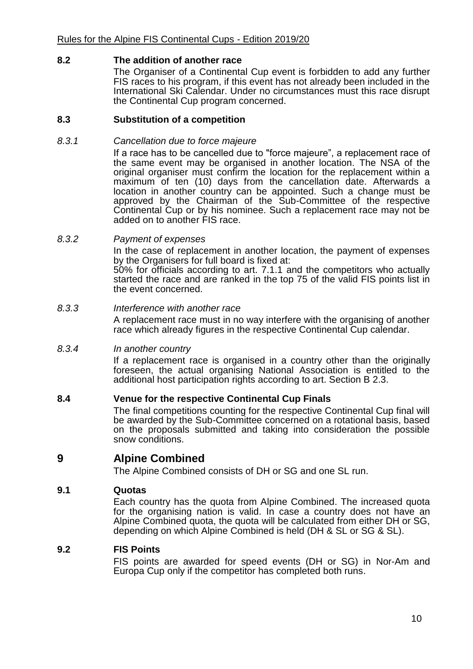## **8.2 The addition of another race**

The Organiser of a Continental Cup event is forbidden to add any further FIS races to his program, if this event has not already been included in the International Ski Calendar. Under no circumstances must this race disrupt the Continental Cup program concerned.

#### **8.3 Substitution of a competition**

#### *8.3.1 Cancellation due to force majeure*

If a race has to be cancelled due to "force majeure", a replacement race of the same event may be organised in another location. The NSA of the original organiser must confirm the location for the replacement within a maximum of ten (10) days from the cancellation date. Afterwards a location in another country can be appointed. Such a change must be approved by the Chairman of the Sub-Committee of the respective Continental Cup or by his nominee. Such a replacement race may not be added on to another FIS race.

#### *8.3.2 Payment of expenses*

In the case of replacement in another location, the payment of expenses by the Organisers for full board is fixed at:

50% for officials according to art. 7.1.1 and the competitors who actually started the race and are ranked in the top 75 of the valid FIS points list in the event concerned.

#### *8.3.3 Interference with another race*

A replacement race must in no way interfere with the organising of another race which already figures in the respective Continental Cup calendar.

#### *8.3.4 In another country*

If a replacement race is organised in a country other than the originally foreseen, the actual organising National Association is entitled to the additional host participation rights according to art. Section B 2.3.

#### **8.4 Venue for the respective Continental Cup Finals**

The final competitions counting for the respective Continental Cup final will be awarded by the Sub-Committee concerned on a rotational basis, based on the proposals submitted and taking into consideration the possible snow conditions.

# **9 Alpine Combined**

The Alpine Combined consists of DH or SG and one SL run.

#### **9.1 Quotas**

Each country has the quota from Alpine Combined. The increased quota for the organising nation is valid. In case a country does not have an Alpine Combined quota, the quota will be calculated from either DH or SG, depending on which Alpine Combined is held (DH & SL or SG & SL).

#### **9.2 FIS Points**

FIS points are awarded for speed events (DH or SG) in Nor-Am and Europa Cup only if the competitor has completed both runs.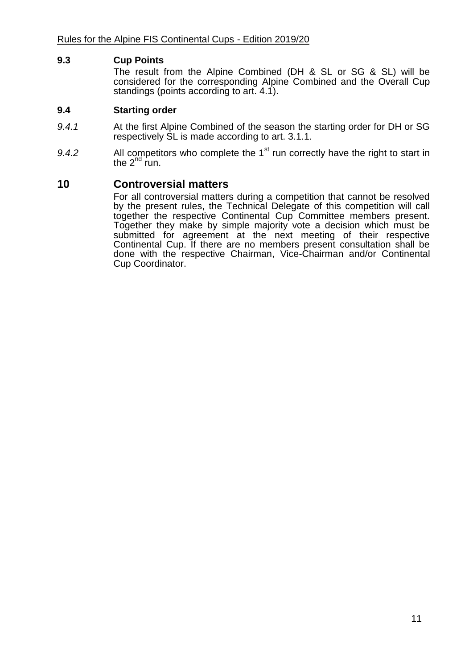#### **9.3 Cup Points**

The result from the Alpine Combined (DH & SL or SG & SL) will be considered for the corresponding Alpine Combined and the Overall Cup standings (points according to art. 4.1).

#### **9.4 Starting order**

- *9.4.1* At the first Alpine Combined of the season the starting order for DH or SG respectively SL is made according to art. 3.1.1.
- 9.4.2 All competitors who complete the 1<sup>st</sup> run correctly have the right to start in the  $2^{nd}$  run.

# **10 Controversial matters**

For all controversial matters during a competition that cannot be resolved by the present rules, the Technical Delegate of this competition will call together the respective Continental Cup Committee members present. Together they make by simple majority vote a decision which must be submitted for agreement at the next meeting of their respective Continental Cup. If there are no members present consultation shall be done with the respective Chairman, Vice-Chairman and/or Continental Cup Coordinator.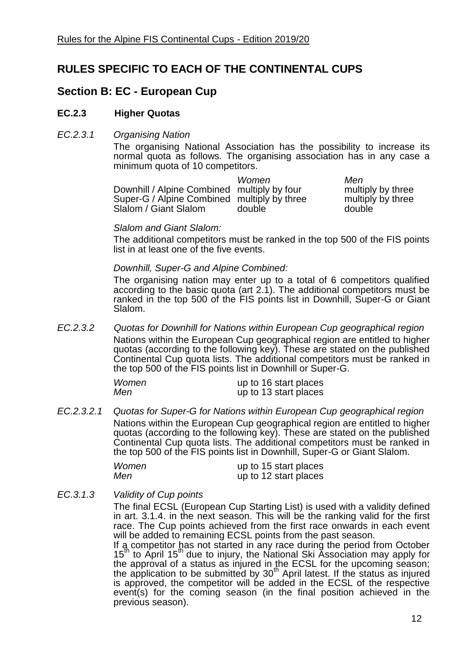# **RULES SPECIFIC TO EACH OF THE CONTINENTAL CUPS**

# **Section B: EC - European Cup**

# **EC.2.3 Higher Quotas**

#### *EC.2.3.1 Organising Nation*

The organising National Association has the possibility to increase its normal quota as follows. The organising association has in any case a minimum quota of 10 competitors.

|                                             | Women  | Men     |
|---------------------------------------------|--------|---------|
| Downhill / Alpine Combined multiply by four |        | multipl |
| Super-G / Alpine Combined multiply by three |        | multipl |
| Slalom / Giant Slalom                       | double | double  |

ultiply by three ultiply by three

#### *Slalom and Giant Slalom:*

The additional competitors must be ranked in the top 500 of the FIS points list in at least one of the five events.

#### *Downhill, Super-G and Alpine Combined:*

The organising nation may enter up to a total of 6 competitors qualified according to the basic quota (art 2.1). The additional competitors must be ranked in the top 500 of the FIS points list in Downhill, Super-G or Giant Slalom.

*EC.2.3.2 Quotas for Downhill for Nations within European Cup geographical region* Nations within the European Cup geographical region are entitled to higher quotas (according to the following key). These are stated on the published Continental Cup quota lists. The additional competitors must be ranked in the top 500 of the FIS points list in Downhill or Super-G.

| Women | up to 16 start places |
|-------|-----------------------|
| Men   | up to 13 start places |

*EC.2.3.2.1 Quotas for Super-G for Nations within European Cup geographical region* Nations within the European Cup geographical region are entitled to higher quotas (according to the following key). These are stated on the published Continental Cup quota lists. The additional competitors must be ranked in the top 500 of the FIS points list in Downhill, Super-G or Giant Slalom.

| Women | up to 15 start places |
|-------|-----------------------|
| Men   | up to 12 start places |

# *EC.3.1.3 Validity of Cup points*

The final ECSL (European Cup Starting List) is used with a validity defined in art. 3.1.4. in the next season. This will be the ranking valid for the first race. The Cup points achieved from the first race onwards in each event will be added to remaining ECSL points from the past season.

If a competitor has not started in any race during the period from October  $15<sup>th</sup>$  to April 15<sup>th</sup> due to injury, the National Ski Association may apply for the approval of a status as injured in the ECSL for the upcoming season; the application to be submitted by 30<sup>th</sup> April latest. If the status as injured is approved, the competitor will be added in the ECSL of the respective event(s) for the coming season (in the final position achieved in the previous season).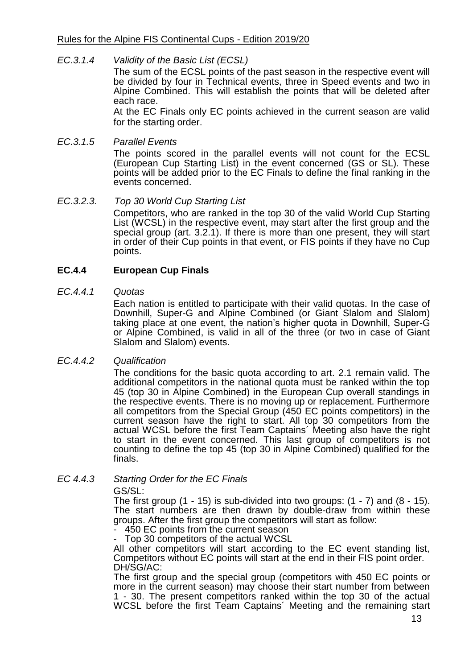#### *EC.3.1.4 Validity of the Basic List (ECSL)*

The sum of the ECSL points of the past season in the respective event will be divided by four in Technical events, three in Speed events and two in Alpine Combined. This will establish the points that will be deleted after each race.

At the EC Finals only EC points achieved in the current season are valid for the starting order.

#### *EC.3.1.5 Parallel Events*

The points scored in the parallel events will not count for the ECSL (European Cup Starting List) in the event concerned (GS or SL). These points will be added prior to the EC Finals to define the final ranking in the events concerned.

#### *EC.3.2.3. Top 30 World Cup Starting List*

Competitors, who are ranked in the top 30 of the valid World Cup Starting List (WCSL) in the respective event, may start after the first group and the special group (art. 3.2.1). If there is more than one present, they will start in order of their Cup points in that event, or FIS points if they have no Cup points.

# **EC.4.4 European Cup Finals**

#### *EC.4.4.1 Quotas*

Each nation is entitled to participate with their valid quotas. In the case of Downhill, Super-G and Alpine Combined (or Giant Slalom and Slalom) taking place at one event, the nation's higher quota in Downhill, Super-G or Alpine Combined, is valid in all of the three (or two in case of Giant Slalom and Slalom) events.

#### *EC.4.4.2 Qualification*

The conditions for the basic quota according to art. 2.1 remain valid. The additional competitors in the national quota must be ranked within the top 45 (top 30 in Alpine Combined) in the European Cup overall standings in the respective events. There is no moving up or replacement. Furthermore all competitors from the Special Group (450 EC points competitors) in the current season have the right to start. All top 30 competitors from the actual WCSL before the first Team Captains´ Meeting also have the right to start in the event concerned. This last group of competitors is not counting to define the top 45 (top 30 in Alpine Combined) qualified for the finals.

# *EC 4.4.3 Starting Order for the EC Finals*

GS/SL:

The first group  $(1 - 15)$  is sub-divided into two groups:  $(1 - 7)$  and  $(8 - 15)$ . The start numbers are then drawn by double-draw from within these groups. After the first group the competitors will start as follow:

- 450 EC points from the current season Top 30 competitors of the actual WCSL

All other competitors will start according to the EC event standing list, Competitors without EC points will start at the end in their FIS point order. DH/SG/AC:

The first group and the special group (competitors with 450 EC points or more in the current season) may choose their start number from between 1 - 30. The present competitors ranked within the top 30 of the actual WCSL before the first Team Captains' Meeting and the remaining start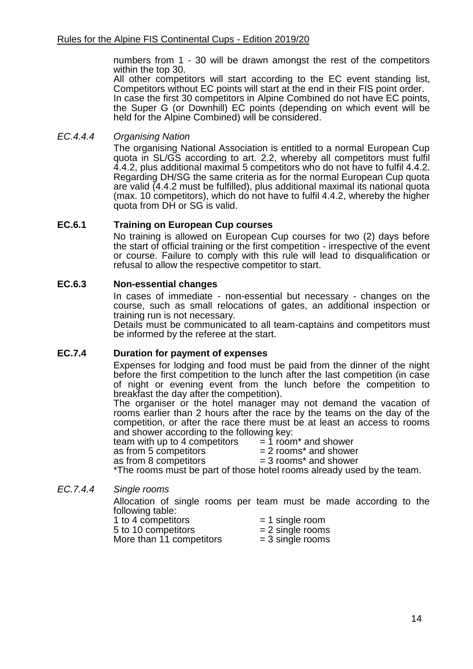numbers from 1 - 30 will be drawn amongst the rest of the competitors within the top 30.

All other competitors will start according to the EC event standing list, Competitors without EC points will start at the end in their FIS point order. In case the first 30 competitors in Alpine Combined do not have EC points, the Super G (or Downhill) EC points (depending on which event will be held for the Alpine Combined) will be considered.

# *EC.4.4.4 Organising Nation*

The organising National Association is entitled to a normal European Cup quota in SL/GS according to art. 2.2, whereby all competitors must fulfil 4.4.2, plus additional maximal 5 competitors who do not have to fulfil 4.4.2. Regarding DH/SG the same criteria as for the normal European Cup quota are valid (4.4.2 must be fulfilled), plus additional maximal its national quota (max. 10 competitors), which do not have to fulfil 4.4.2, whereby the higher quota from DH or SG is valid.

# **EC.6.1 Training on European Cup courses**

No training is allowed on European Cup courses for two (2) days before the start of official training or the first competition - irrespective of the event or course. Failure to comply with this rule will lead to disqualification or refusal to allow the respective competitor to start.

# **EC.6.3 Non-essential changes**

In cases of immediate - non-essential but necessary - changes on the course, such as small relocations of gates, an additional inspection or training run is not necessary.

Details must be communicated to all team-captains and competitors must be informed by the referee at the start.

# **EC.7.4 Duration for payment of expenses**

Expenses for lodging and food must be paid from the dinner of the night before the first competition to the lunch after the last competition (in case of night or evening event from the lunch before the competition to breakfast the day after the competition).

The organiser or the hotel manager may not demand the vacation of rooms earlier than 2 hours after the race by the teams on the day of the competition, or after the race there must be at least an access to rooms

and shower according to the following key:<br>team with up to 4 competitors  $= 1$  room\* and shower team with up to 4 competitors as from 5 competitors  $= 2$  rooms\* and shower as from 8 competitors  $= 3$  rooms\* and shower \*The rooms must be part of those hotel rooms already used by the team.

# *EC.7.4.4 Single rooms*

Allocation of single rooms per team must be made according to the following table:

| . <del>.</del><br>1 to 4 competitors | $= 1$ single room  |
|--------------------------------------|--------------------|
| 5 to 10 competitors                  | $= 2$ single rooms |
| More than 11 competitors             | $=$ 3 single rooms |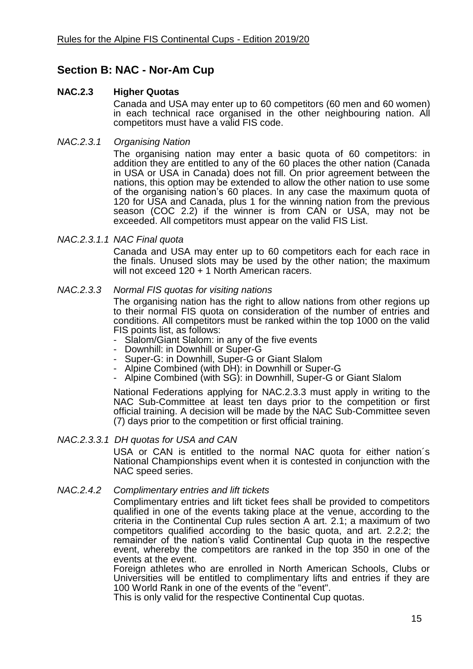# **Section B: NAC - Nor-Am Cup**

# **NAC.2.3 Higher Quotas**

Canada and USA may enter up to 60 competitors (60 men and 60 women) in each technical race organised in the other neighbouring nation. All competitors must have a valid FIS code.

# *NAC.2.3.1 Organising Nation*

The organising nation may enter a basic quota of 60 competitors: in addition they are entitled to any of the 60 places the other nation (Canada in USA or USA in Canada) does not fill. On prior agreement between the nations, this option may be extended to allow the other nation to use some of the organising nation's 60 places. In any case the maximum quota of 120 for USA and Canada, plus 1 for the winning nation from the previous season (COC 2.2) if the winner is from CAN or USA, may not be exceeded. All competitors must appear on the valid FIS List.

#### *NAC.2.3.1.1 NAC Final quota*

Canada and USA may enter up to 60 competitors each for each race in the finals. Unused slots may be used by the other nation; the maximum will not exceed 120 + 1 North American racers.

#### *NAC.2.3.3 Normal FIS quotas for visiting nations*

The organising nation has the right to allow nations from other regions up to their normal FIS quota on consideration of the number of entries and conditions. All competitors must be ranked within the top 1000 on the valid FIS points list, as follows:

- Slalom/Giant Slalom: in any of the five events
- Downhill: in Downhill or Super-G
- Super-G: in Downhill, Super-G or Giant Slalom
- Alpine Combined (with DH): in Downhill or Super-G
- Alpine Combined (with SG): in Downhill, Super-G or Giant Slalom

National Federations applying for NAC.2.3.3 must apply in writing to the NAC Sub-Committee at least ten days prior to the competition or first official training. A decision will be made by the NAC Sub-Committee seven (7) days prior to the competition or first official training.

#### *NAC.2.3.3.1 DH quotas for USA and CAN*

USA or CAN is entitled to the normal NAC quota for either nation´s National Championships event when it is contested in conjunction with the NAC speed series.

#### *NAC.2.4.2 Complimentary entries and lift tickets*

Complimentary entries and lift ticket fees shall be provided to competitors qualified in one of the events taking place at the venue, according to the criteria in the Continental Cup rules section A art. 2.1; a maximum of two competitors qualified according to the basic quota, and art. 2.2.2; the remainder of the nation's valid Continental Cup quota in the respective event, whereby the competitors are ranked in the top 350 in one of the events at the event.

Foreign athletes who are enrolled in North American Schools, Clubs or Universities will be entitled to complimentary lifts and entries if they are 100 World Rank in one of the events of the "event".

This is only valid for the respective Continental Cup quotas.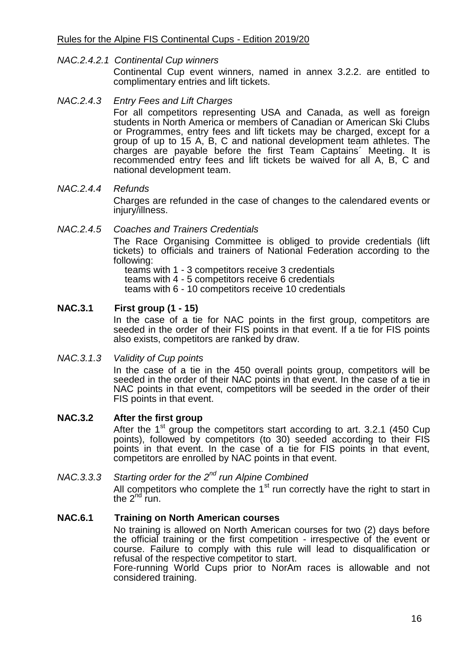#### *NAC.2.4.2.1 Continental Cup winners*

Continental Cup event winners, named in annex 3.2.2. are entitled to complimentary entries and lift tickets.

#### *NAC.2.4.3 Entry Fees and Lift Charges*

For all competitors representing USA and Canada, as well as foreign students in North America or members of Canadian or American Ski Clubs or Programmes, entry fees and lift tickets may be charged, except for a group of up to 15 A, B, C and national development team athletes. The charges are payable before the first Team Captains´ Meeting. It is recommended entry fees and lift tickets be waived for all A, B, C and national development team.

#### *NAC.2.4.4 Refunds*

Charges are refunded in the case of changes to the calendared events or injury/illness.

#### *NAC.2.4.5 Coaches and Trainers Credentials*

The Race Organising Committee is obliged to provide credentials (lift tickets) to officials and trainers of National Federation according to the following:

teams with 1 - 3 competitors receive 3 credentials teams with 4 - 5 competitors receive 6 credentials teams with 6 - 10 competitors receive 10 credentials

# **NAC.3.1 First group (1 - 15)**

In the case of a tie for NAC points in the first group, competitors are seeded in the order of their FIS points in that event. If a tie for FIS points also exists, competitors are ranked by draw.

#### *NAC.3.1.3 Validity of Cup points*

In the case of a tie in the 450 overall points group, competitors will be seeded in the order of their NAC points in that event. In the case of a tie in NAC points in that event, competitors will be seeded in the order of their FIS points in that event.

#### **NAC.3.2 After the first group**

After the  $1<sup>st</sup>$  group the competitors start according to art. 3.2.1 (450 Cup points), followed by competitors (to 30) seeded according to their FIS points in that event. In the case of a tie for FIS points in that event, competitors are enrolled by NAC points in that event.

# *NAC.3.3.3 Starting order for the 2nd run Alpine Combined*

All competitors who complete the  $1<sup>st</sup>$  run correctly have the right to start in the  $2^{nd}$  run.

#### **NAC.6.1 Training on North American courses**

No training is allowed on North American courses for two (2) days before the official training or the first competition - irrespective of the event or course. Failure to comply with this rule will lead to disqualification or refusal of the respective competitor to start.

Fore-running World Cups prior to NorAm races is allowable and not considered training.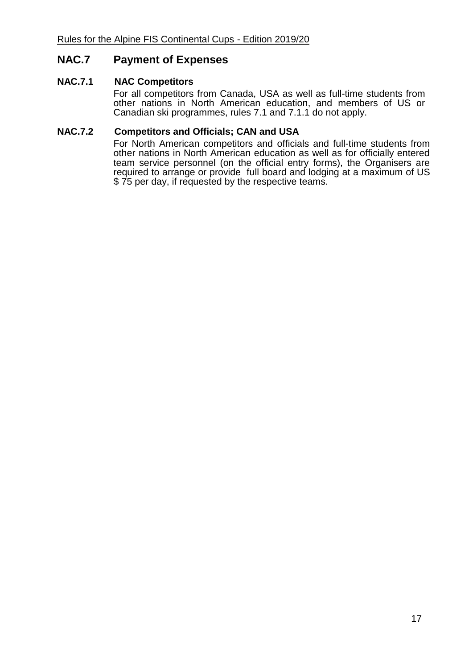# **NAC.7 Payment of Expenses**

#### **NAC.7.1 NAC Competitors**

For all competitors from Canada, USA as well as full-time students from other nations in North American education, and members of US or Canadian ski programmes, rules 7.1 and 7.1.1 do not apply.

#### **NAC.7.2 Competitors and Officials; CAN and USA**

For North American competitors and officials and full-time students from other nations in North American education as well as for officially entered team service personnel (on the official entry forms), the Organisers are required to arrange or provide full board and lodging at a maximum of US \$ 75 per day, if requested by the respective teams.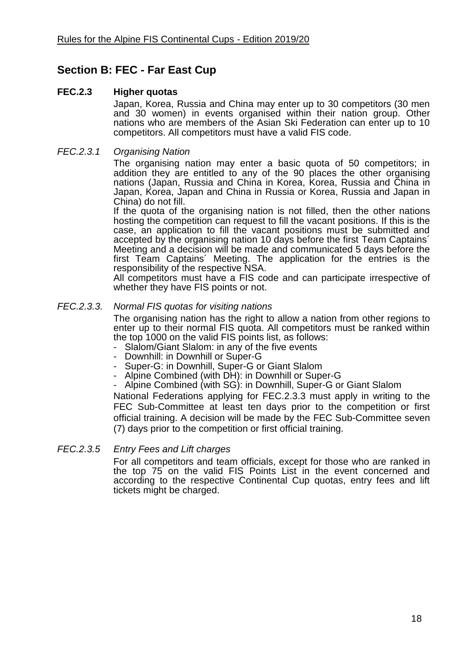# **Section B: FEC - Far East Cup**

# **FEC.2.3 Higher quotas**

Japan, Korea, Russia and China may enter up to 30 competitors (30 men and 30 women) in events organised within their nation group. Other nations who are members of the Asian Ski Federation can enter up to 10 competitors. All competitors must have a valid FIS code.

#### *FEC.2.3.1 Organising Nation*

The organising nation may enter a basic quota of 50 competitors; in addition they are entitled to any of the 90 places the other organising nations (Japan, Russia and China in Korea, Korea, Russia and China in Japan, Korea, Japan and China in Russia or Korea, Russia and Japan in China) do not fill.

If the quota of the organising nation is not filled, then the other nations hosting the competition can request to fill the vacant positions. If this is the case. an application to fill the vacant positions must be submitted and accepted by the organising nation 10 days before the first Team Captains´ Meeting and a decision will be made and communicated 5 days before the first Team Captains´ Meeting. The application for the entries is the responsibility of the respective NSA.

All competitors must have a FIS code and can participate irrespective of whether they have FIS points or not.

#### *FEC.2.3.3. Normal FIS quotas for visiting nations*

The organising nation has the right to allow a nation from other regions to enter up to their normal FIS quota. All competitors must be ranked within the top 1000 on the valid FIS points list, as follows:

- Slalom/Giant Slalom: in any of the five events
- Downhill: in Downhill or Super-G
- Super-G: in Downhill, Super-G or Giant Slalom
- Alpine Combined (with DH): in Downhill or Super-G
- Alpine Combined (with SG): in Downhill, Super-G or Giant Slalom

National Federations applying for FEC.2.3.3 must apply in writing to the FEC Sub-Committee at least ten days prior to the competition or first official training. A decision will be made by the FEC Sub-Committee seven (7) days prior to the competition or first official training.

#### *FEC.2.3.5 Entry Fees and Lift charges*

For all competitors and team officials, except for those who are ranked in the top 75 on the valid FIS Points List in the event concerned and according to the respective Continental Cup quotas, entry fees and lift tickets might be charged.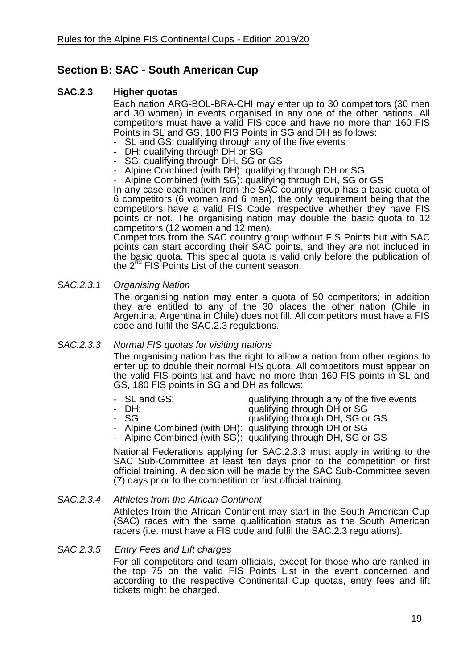# **Section B: SAC - South American Cup**

# **SAC.2.3 Higher quotas**

Each nation ARG-BOL-BRA-CHI may enter up to 30 competitors (30 men and 30 women) in events organised in any one of the other nations. All competitors must have a valid FIS code and have no more than 160 FIS Points in SL and GS, 180 FIS Points in SG and DH as follows:

- SL and GS: qualifying through any of the five events
- DH: qualifying through DH or SG
- SG: qualifying through DH, SG or GS
- Alpine Combined (with DH): qualifying through DH or SG
- Alpine Combined (with SG): qualifying through DH, SG or GS

In any case each nation from the SAC country group has a basic quota of 6 competitors (6 women and 6 men), the only requirement being that the competitors have a valid FIS Code irrespective whether they have FIS points or not. The organising nation may double the basic quota to 12 competitors (12 women and 12 men).

Competitors from the SAC country group without FIS Points but with SAC points can start according their SAC points, and they are not included in the basic quota. This special quota is valid only before the publication of the 2<sup>nd</sup> FIS Points List of the current season.

*SAC.2.3.1 Organising Nation*

The organising nation may enter a quota of 50 competitors; in addition they are entitled to any of the 30 places the other nation (Chile in Argentina, Argentina in Chile) does not fill. All competitors must have a FIS code and fulfil the SAC.2.3 regulations.

# *SAC.2.3.3 Normal FIS quotas for visiting nations*

The organising nation has the right to allow a nation from other regions to enter up to double their normal FIS quota. All competitors must appear on the valid FIS points list and have no more than 160 FIS points in SL and GS, 180 FIS points in SG and DH as follows:

- SL and GS: example and gualifying through any of the five events<br>- DH: example and qualifying through DH or SG
	-
- qualifying through DH or SG
- 
- SG: qualifying through DH, SG or GS
- Alpine Combined (with DH): qualifying through DH or SG
- Alpine Combined (with SG): qualifying through DH, SG or GS

National Federations applying for SAC.2.3.3 must apply in writing to the SAC Sub-Committee at least ten days prior to the competition or first official training. A decision will be made by the SAC Sub-Committee seven (7) days prior to the competition or first official training.

# *SAC.2.3.4 Athletes from the African Continent*

Athletes from the African Continent may start in the South American Cup (SAC) races with the same qualification status as the South American racers (i.e. must have a FIS code and fulfil the SAC.2.3 regulations).

*SAC 2.3.5 Entry Fees and Lift charges*

For all competitors and team officials, except for those who are ranked in the top 75 on the valid FIS Points List in the event concerned and according to the respective Continental Cup quotas, entry fees and lift tickets might be charged.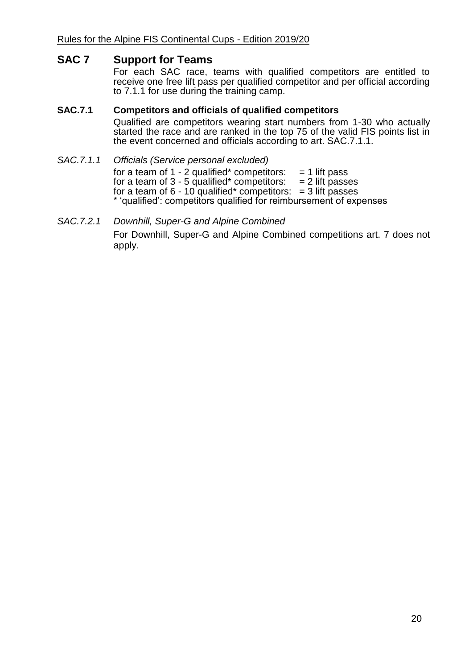# **SAC 7 Support for Teams**

For each SAC race, teams with qualified competitors are entitled to receive one free lift pass per qualified competitor and per official according to 7.1.1 for use during the training camp.

# **SAC.7.1 Competitors and officials of qualified competitors**

Qualified are competitors wearing start numbers from 1-30 who actually started the race and are ranked in the top 75 of the valid FIS points list in the event concerned and officials according to art. SAC.7.1.1.

- *SAC.7.1.1 Officials (Service personal excluded)* for a team of  $1 - 2$  qualified\* competitors:  $= 1$  lift pass for a team of  $3 - 5$  qualified\* competitors:  $= 2$  lift passes for a team of  $6 - 10$  qualified\* competitors:  $= 3$  lift passes \* 'qualified': competitors qualified for reimbursement of expenses
- *SAC.7.2.1 Downhill, Super-G and Alpine Combined* For Downhill, Super-G and Alpine Combined competitions art. 7 does not apply.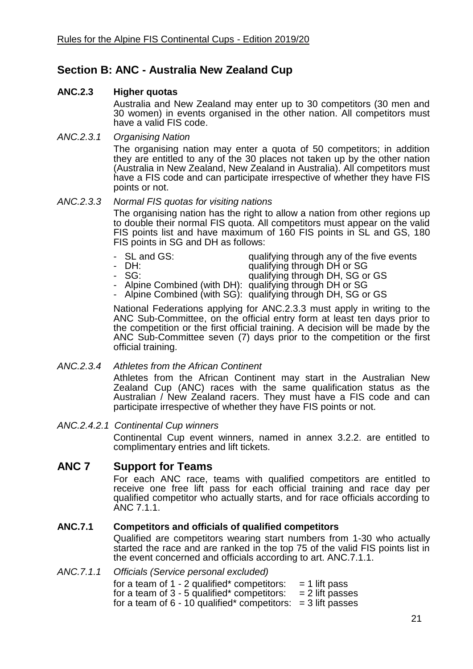# **Section B: ANC - Australia New Zealand Cup**

# **ANC.2.3 Higher quotas**

Australia and New Zealand may enter up to 30 competitors (30 men and 30 women) in events organised in the other nation. All competitors must have a valid FIS code.

#### *ANC.2.3.1 Organising Nation*

The organising nation may enter a quota of 50 competitors; in addition they are entitled to any of the 30 places not taken up by the other nation (Australia in New Zealand, New Zealand in Australia). All competitors must have a FIS code and can participate irrespective of whether they have FIS points or not.

#### *ANC.2.3.3 Normal FIS quotas for visiting nations*

The organising nation has the right to allow a nation from other regions up to double their normal FIS quota. All competitors must appear on the valid FIS points list and have maximum of 160 FIS points in SL and GS, 180 FIS points in SG and DH as follows:

- 
- SL and GS:  $\begin{array}{ccc} \text{qualifying through any of the five events} \\ \text{ualifying through DH or SG} \end{array}$
- 
- DH: qualifying through DH or SG qualifying through DH, SG or GS
	-
- Alpine Combined (with DH): qualifying through DH or SG
- Alpine Combined (with SG): qualifying through DH, SG or GS

National Federations applying for ANC.2.3.3 must apply in writing to the ANC Sub-Committee, on the official entry form at least ten days prior to the competition or the first official training. A decision will be made by the ANC Sub-Committee seven (7) days prior to the competition or the first official training.

# *ANC.2.3.4 Athletes from the African Continent*

Athletes from the African Continent may start in the Australian New Zealand Cup (ANC) races with the same qualification status as the Australian / New Zealand racers. They must have a FIS code and can participate irrespective of whether they have FIS points or not.

*ANC.2.4.2.1 Continental Cup winners*

Continental Cup event winners, named in annex 3.2.2. are entitled to complimentary entries and lift tickets.

# **ANC 7 Support for Teams**

For each ANC race, teams with qualified competitors are entitled to receive one free lift pass for each official training and race day per qualified competitor who actually starts, and for race officials according to ANC 7.1.1.

# **ANC.7.1 Competitors and officials of qualified competitors**

Qualified are competitors wearing start numbers from 1-30 who actually started the race and are ranked in the top 75 of the valid FIS points list in the event concerned and officials according to art. ANC.7.1.1.

*ANC.7.1.1 Officials (Service personal excluded)* for a team of  $1 - 2$  qualified\* competitors:  $= 1$  lift pass for a team of  $3 - 5$  qualified\* competitors:  $= 2$  lift passes for a team of  $6 - 10$  qualified\* competitors:  $= 3$  lift passes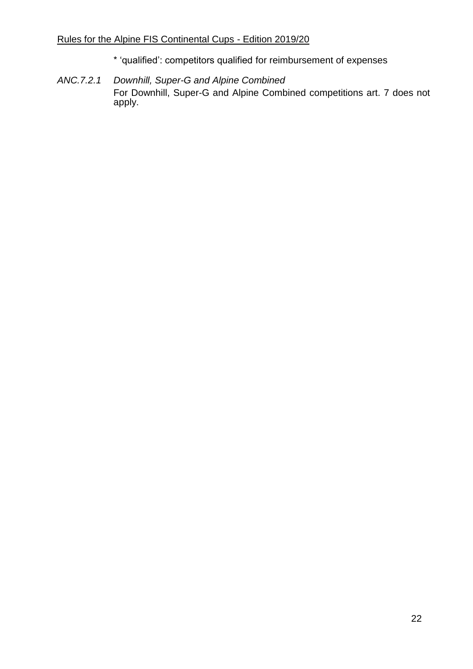# Rules for the Alpine FIS Continental Cups - Edition 2019/20

- \* 'qualified': competitors qualified for reimbursement of expenses
- *ANC.7.2.1 Downhill, Super-G and Alpine Combined* For Downhill, Super-G and Alpine Combined competitions art. 7 does not apply.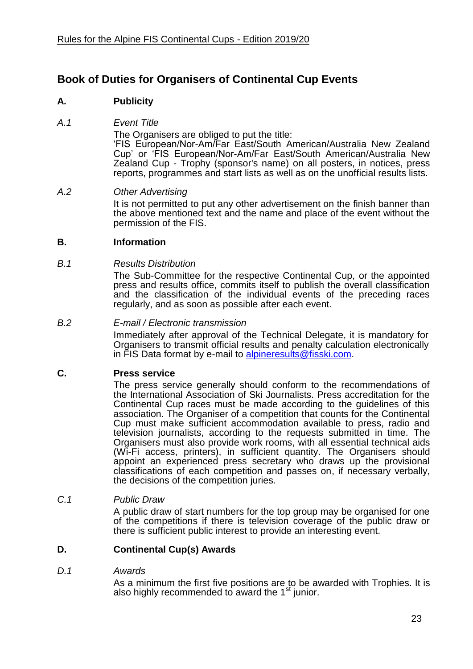# **Book of Duties for Organisers of Continental Cup Events**

# **A. Publicity**

#### *A.1 Event Title*

The Organisers are obliged to put the title:

'FIS European/Nor-Am/Far East/South American/Australia New Zealand Cup' or 'FIS European/Nor-Am/Far East/South American/Australia New Zealand Cup - Trophy (sponsor's name) on all posters, in notices, press reports, programmes and start lists as well as on the unofficial results lists.

#### *A.2 Other Advertising*

It is not permitted to put any other advertisement on the finish banner than the above mentioned text and the name and place of the event without the permission of the FIS.

# **B. Information**

#### *B.1 Results Distribution*

The Sub-Committee for the respective Continental Cup, or the appointed press and results office, commits itself to publish the overall classification and the classification of the individual events of the preceding races regularly, and as soon as possible after each event.

#### *B.2 E-mail / Electronic transmission*

Immediately after approval of the Technical Delegate, it is mandatory for Organisers to transmit official results and penalty calculation electronically in FIS Data format by e-mail to [alpineresults@fisski.com.](mailto:alpineresults@fisski.com)

# **C. Press service**

The press service generally should conform to the recommendations of the International Association of Ski Journalists. Press accreditation for the Continental Cup races must be made according to the guidelines of this association. The Organiser of a competition that counts for the Continental Cup must make sufficient accommodation available to press, radio and television journalists, according to the requests submitted in time. The Organisers must also provide work rooms, with all essential technical aids (Wi-Fi access, printers), in sufficient quantity. The Organisers should appoint an experienced press secretary who draws up the provisional classifications of each competition and passes on, if necessary verbally, the decisions of the competition juries.

#### *C.1 Public Draw*

A public draw of start numbers for the top group may be organised for one of the competitions if there is television coverage of the public draw or there is sufficient public interest to provide an interesting event.

# **D. Continental Cup(s) Awards**

#### *D.1 Awards*

As a minimum the first five positions are to be awarded with Trophies. It is also highly recommended to award the  $1<sup>st</sup>$  junior.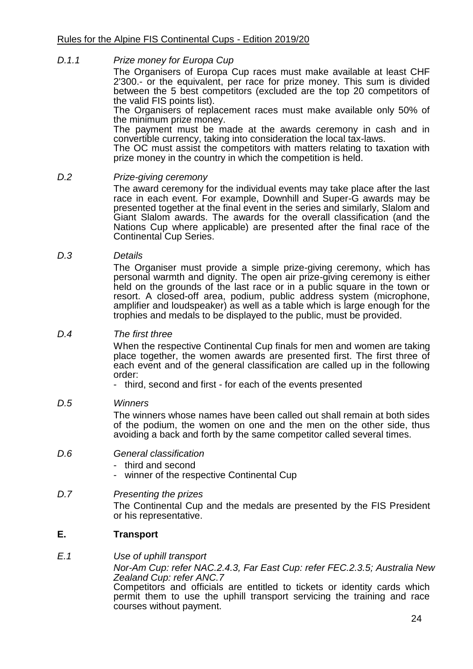#### *D.1.1 Prize money for Europa Cup*

The Organisers of Europa Cup races must make available at least CHF 2'300.- or the equivalent, per race for prize money. This sum is divided between the 5 best competitors (excluded are the top 20 competitors of the valid FIS points list).

The Organisers of replacement races must make available only 50% of the minimum prize money.

The payment must be made at the awards ceremony in cash and in convertible currency, taking into consideration the local tax-laws.

The OC must assist the competitors with matters relating to taxation with prize money in the country in which the competition is held.

#### *D.2 Prize-giving ceremony*

The award ceremony for the individual events may take place after the last race in each event. For example, Downhill and Super-G awards may be presented together at the final event in the series and similarly, Slalom and Giant Slalom awards. The awards for the overall classification (and the Nations Cup where applicable) are presented after the final race of the Continental Cup Series.

#### *D.3 Details*

The Organiser must provide a simple prize-giving ceremony, which has personal warmth and dignity. The open air prize-giving ceremony is either held on the grounds of the last race or in a public square in the town or resort. A closed-off area, podium, public address system (microphone, amplifier and loudspeaker) as well as a table which is large enough for the trophies and medals to be displayed to the public, must be provided.

#### *D.4 The first three*

When the respective Continental Cup finals for men and women are taking place together, the women awards are presented first. The first three of each event and of the general classification are called up in the following order:

- third, second and first - for each of the events presented

# *D.5 Winners*

The winners whose names have been called out shall remain at both sides of the podium, the women on one and the men on the other side, thus avoiding a back and forth by the same competitor called several times.

- *D.6 General classification*
	- third and second
	- winner of the respective Continental Cup

# *D.7 Presenting the prizes*

The Continental Cup and the medals are presented by the FIS President or his representative.

# **E. Transport**

#### *E.1 Use of uphill transport*

*Nor-Am Cup: refer NAC.2.4.3, Far East Cup: refer FEC.2.3.5; Australia New Zealand Cup: refer ANC.7*

Competitors and officials are entitled to tickets or identity cards which permit them to use the uphill transport servicing the training and race courses without payment.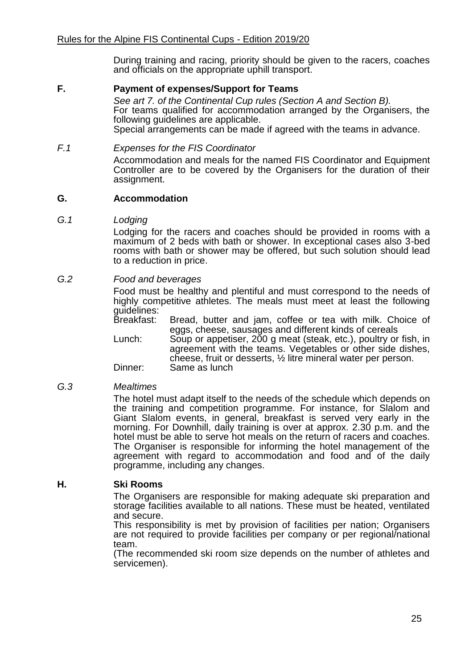During training and racing, priority should be given to the racers, coaches and officials on the appropriate uphill transport.

#### **F. Payment of expenses/Support for Teams**

*See art 7. of the Continental Cup rules (Section A and Section B).*  For teams qualified for accommodation arranged by the Organisers, the following guidelines are applicable. Special arrangements can be made if agreed with the teams in advance.

#### *F.1 Expenses for the FIS Coordinator*

Accommodation and meals for the named FIS Coordinator and Equipment Controller are to be covered by the Organisers for the duration of their assignment.

#### **G. Accommodation**

*G.1 Lodging*

Lodging for the racers and coaches should be provided in rooms with a maximum of 2 beds with bath or shower. In exceptional cases also 3-bed rooms with bath or shower may be offered, but such solution should lead to a reduction in price.

#### *G.2 Food and beverages*

Food must be healthy and plentiful and must correspond to the needs of highly competitive athletes. The meals must meet at least the following guidelines:<br>Breakfast:

Bread, butter and jam, coffee or tea with milk. Choice of eggs, cheese, sausages and different kinds of cereals

Lunch: Soup or appetiser, 200 g meat (steak, etc.), poultry or fish, in agreement with the teams. Vegetables or other side dishes, cheese, fruit or desserts, ½ litre mineral water per person. Dinner: Same as lunch

#### *G.3 Mealtimes*

The hotel must adapt itself to the needs of the schedule which depends on the training and competition programme. For instance, for Slalom and Giant Slalom events, in general, breakfast is served very early in the morning. For Downhill, daily training is over at approx. 2.30 p.m. and the hotel must be able to serve hot meals on the return of racers and coaches. The Organiser is responsible for informing the hotel management of the agreement with regard to accommodation and food and of the daily programme, including any changes.

# **H. Ski Rooms**

The Organisers are responsible for making adequate ski preparation and storage facilities available to all nations. These must be heated, ventilated and secure.

This responsibility is met by provision of facilities per nation; Organisers are not required to provide facilities per company or per regional/national team.

(The recommended ski room size depends on the number of athletes and servicemen).